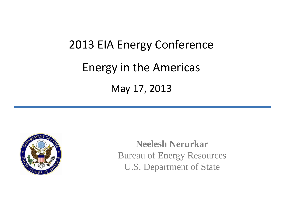# 2013 EIA Energy Conference Energy in the Americas May 17, 2013



**Neelesh Nerurkar** Bureau of Energy Resources U.S. Department of State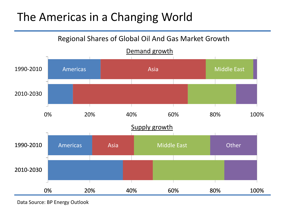#### The Americas in a Changing World



Data Source: BP Energy Outlook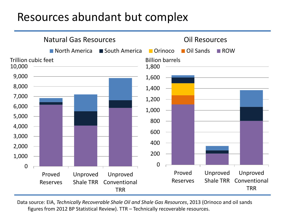#### Resources abundant but complex



Data source: EIA, *Technically Recoverable Shale Oil and Shale Gas Resources*, 2013 (Orinoco and oil sands figures from 2012 BP Statistical Review). TTR – Technically recoverable resources.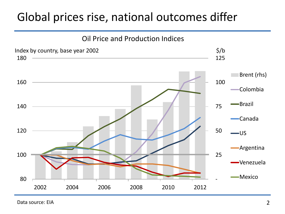#### Global prices rise, national outcomes differ



Data source: EIA 2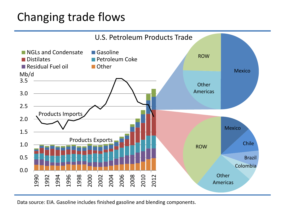### Changing trade flows



Data source: EIA. Gasoline includes finished gasoline and blending components.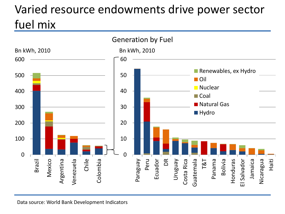## Varied resource endowments drive power sector fuel mix

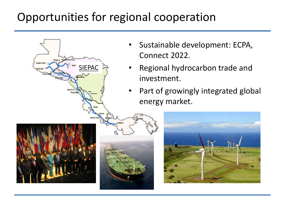### Opportunities for regional cooperation